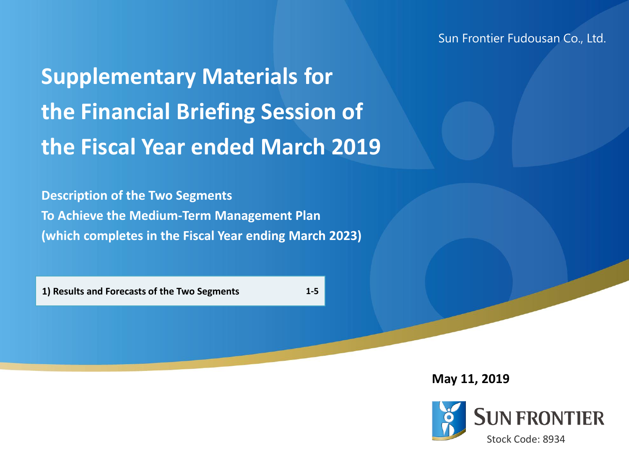Sun Frontier Fudousan Co., Ltd.

**Supplementary Materials for the Financial Briefing Session of the Fiscal Year ended March 2019**

**Description of the Two Segments To Achieve the Medium-Term Management Plan (which completes in the Fiscal Year ending March 2023)**

**1) Results and Forecasts of the Two Segments 1-5**

**May 11, 2019**

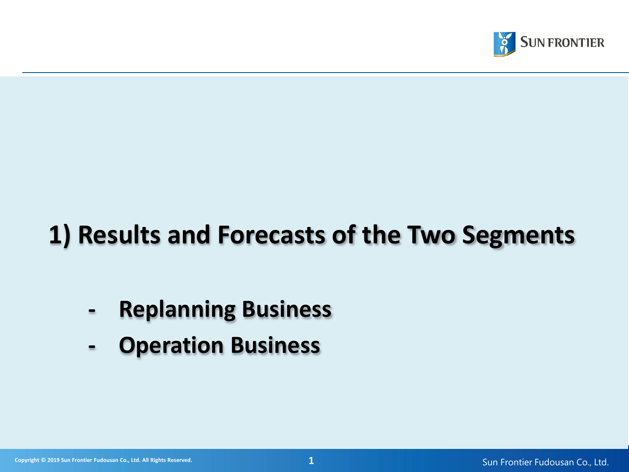

# **1) Results and Forecasts of the Two Segments**

## **- Replanning Business**

**- Operation Business**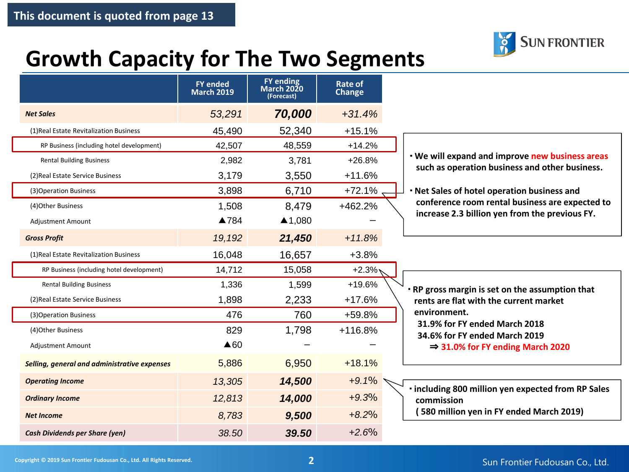

### **Growth Capacity for The Two Segments**

|                                              | <b>FY ended</b><br><b>March 2019</b> | <b>FY ending</b><br>March 2020<br>(Forecast) | Rate of<br>Change |                                                                |
|----------------------------------------------|--------------------------------------|----------------------------------------------|-------------------|----------------------------------------------------------------|
| <b>Net Sales</b>                             | 53,291                               | 70,000                                       | $+31.4%$          |                                                                |
| (1) Real Estate Revitalization Business      | 45,490                               | 52,340                                       | $+15.1%$          |                                                                |
| RP Business (including hotel development)    | 42,507                               | 48,559                                       | $+14.2%$          |                                                                |
| <b>Rental Building Business</b>              | 2,982                                | 3,781                                        | $+26.8%$          | . We will expand and improve new business areas                |
| (2) Real Estate Service Business             | 3,179                                | 3,550                                        | $+11.6%$          | such as operation business and other business.                 |
| (3) Operation Business                       | 3,898                                | 6,710                                        | $+72.1%$          | . Net Sales of hotel operation business and                    |
| (4) Other Business                           | 1,508                                | 8,479                                        | +462.2%           | conference room rental business are expected to                |
| <b>Adjustment Amount</b>                     | ▲784                                 | ▲1,080                                       |                   | increase 2.3 billion yen from the previous FY.                 |
| <b>Gross Profit</b>                          | 19,192                               | 21,450                                       | $+11.8%$          |                                                                |
| (1) Real Estate Revitalization Business      | 16,048                               | 16,657                                       | $+3.8%$           |                                                                |
| RP Business (including hotel development)    | 14,712                               | 15,058                                       | $+2.3%$           |                                                                |
| <b>Rental Building Business</b>              | 1,336                                | 1,599                                        | $+19.6%$          | . RP gross margin is set on the assumption that                |
| (2) Real Estate Service Business             | 1,898                                | 2,233                                        | $+17.6%$          | rents are flat with the current market                         |
| (3) Operation Business                       | 476                                  | 760                                          | +59.8%            | environment.                                                   |
| (4) Other Business                           | 829                                  | 1,798                                        | $+116.8%$         | 31.9% for FY ended March 2018<br>34.6% for FY ended March 2019 |
| <b>Adjustment Amount</b>                     | $\triangle 60$                       |                                              |                   | $\Rightarrow$ 31.0% for FY ending March 2020                   |
| Selling, general and administrative expenses | 5,886                                | 6,950                                        | $+18.1%$          |                                                                |
| <b>Operating Income</b>                      | 13,305                               | 14,500                                       | $+9.1%$           | · including 800 million yen expected from RP Sales             |
| <b>Ordinary Income</b>                       | 12,813                               | 14,000                                       | $+9.3%$           | commission                                                     |
| <b>Net Income</b>                            | 8.783                                | 9,500                                        | $+8.2%$           | 580 million yen in FY ended March 2019)                        |
| <b>Cash Dividends per Share (yen)</b>        | 38.50                                | 39.50                                        | $+2.6%$           |                                                                |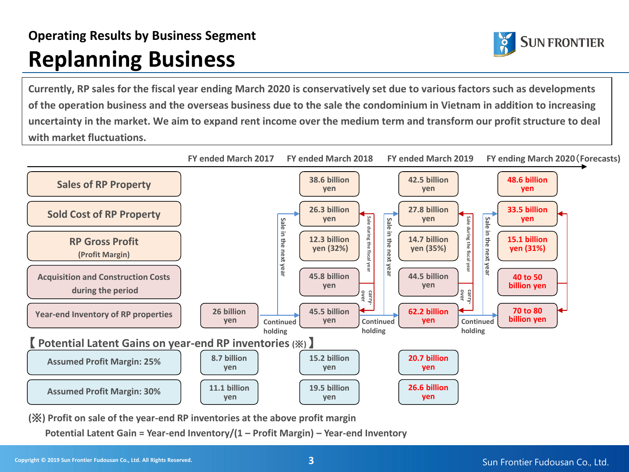#### **Operating Results by Business Segment Replanning Business**



**Currently, RP sales for the fiscal year ending March 2020 is conservatively set due to various factors such as developments of the operation business and the overseas business due to the sale the condominium in Vietnam in addition to increasing uncertainty in the market. We aim to expand rent income over the medium term and transform our profit structure to deal with market fluctuations.**



**(**※**) Profit on sale of the year-end RP inventories at the above profit margin**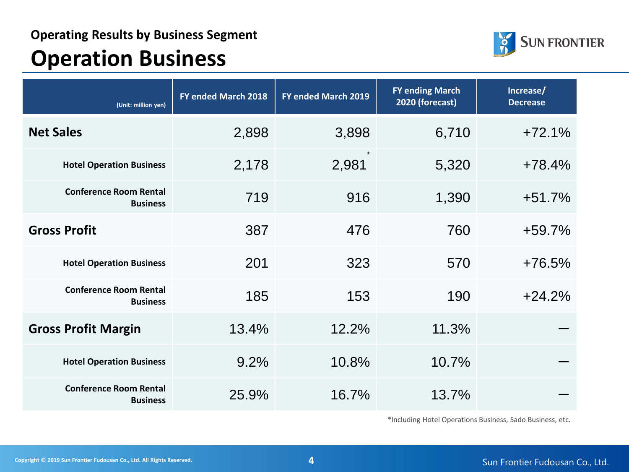

## **Operation Business**

| (Unit: million yen)                              | FY ended March 2018 | FY ended March 2019 | <b>FY ending March</b><br>2020 (forecast) | Increase/<br><b>Decrease</b> |
|--------------------------------------------------|---------------------|---------------------|-------------------------------------------|------------------------------|
| <b>Net Sales</b>                                 | 2,898               | 3,898               | 6,710                                     | $+72.1%$                     |
| <b>Hotel Operation Business</b>                  | 2,178               | 2,981               | 5,320                                     | $+78.4%$                     |
| <b>Conference Room Rental</b><br><b>Business</b> | 719                 | 916                 | 1,390                                     | $+51.7%$                     |
| <b>Gross Profit</b>                              | 387                 | 476                 | 760                                       | $+59.7%$                     |
| <b>Hotel Operation Business</b>                  | 201                 | 323                 | 570                                       | $+76.5%$                     |
| <b>Conference Room Rental</b><br><b>Business</b> | 185                 | 153                 | 190                                       | $+24.2%$                     |
| <b>Gross Profit Margin</b>                       | 13.4%               | 12.2%               | 11.3%                                     |                              |
| <b>Hotel Operation Business</b>                  | 9.2%                | 10.8%               | 10.7%                                     |                              |
| <b>Conference Room Rental</b><br><b>Business</b> | 25.9%               | 16.7%               | 13.7%                                     |                              |

\*Including Hotel Operations Business, Sado Business, etc.